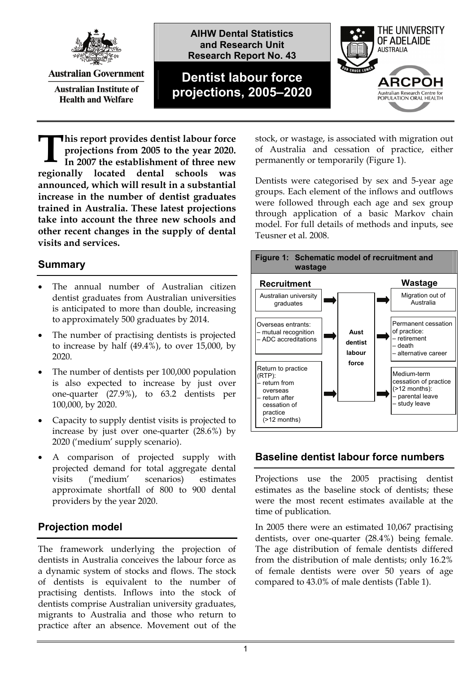

**Australian Government** 

**Australian Institute of Health and Welfare** 

**AIHW Dental Statistics and Research Unit Research Report No. 43**

# **Dentist labour force projections, 2005–2020**



**his report provides dentist labour force projections from 2005 to the year 2020. In 2007 the establishment of three new regionally located dental schools was announced, which will result in a substantial increase in the number of dentist graduates trained in Australia. These latest projections take into account the three new schools and other recent changes in the supply of dental visits and services. T**

### <span id="page-0-0"></span>**Summary**

- The annual number of Australian citizen dentist graduates from Australian universities is anticipated to more than double, increasing to approximately 500 graduates by 2014.
- The number of practising dentists is projected to increase by half (49.4%), to over 15,000, by 2020.
- The number of dentists per 100,000 population is also expected to increase by just over one-quarter (27.9%), to 63.2 dentists per 100,000, by 2020.
- Capacity to supply dentist visits is projected to increase by just over one-quarter (28.6%) by 2020 ('medium' supply scenario).
- A comparison of projected supply with projected demand for total aggregate dental visits ('medium' scenarios) estimates approximate shortfall of 800 to 900 dental providers by the year 2020.

# **Projection model**

The framework underlying the projection of dentists in Australia conceives the labour force as a dynamic system of stocks and flows. The stock of dentists is equivalent to the number of practising dentists. Inflows into the stock of dentists comprise Australian university graduates, migrants to Australia and those who return to practice after an absence. Movement out of the

stock, or wastage, is associated with migration out of Australia and cessation of practice, either permanently or temporarily ([Figure 1\)](#page-0-0).

Dentists were categorised by sex and 5-year age groups. Each element of the inflows and outflows were followed through each age and sex group through application of a basic Markov chain model. For full details of methods and inputs, see Teusner et al. 2008.



#### **Baseline dentist labour force numbers**

Projections use the 2005 practising dentist estimates as the baseline stock of dentists; these were the most recent estimates available at the time of publication.

In 2005 there were an estimated 10,067 practising dentists, over one-quarter (28.4%) being female. The age distribution of female dentists differed from the distribution of male dentists; only 16.2% of female dentists were over 50 years of age compared to 43.0% of male dentists [\(Table 1](#page-1-0)).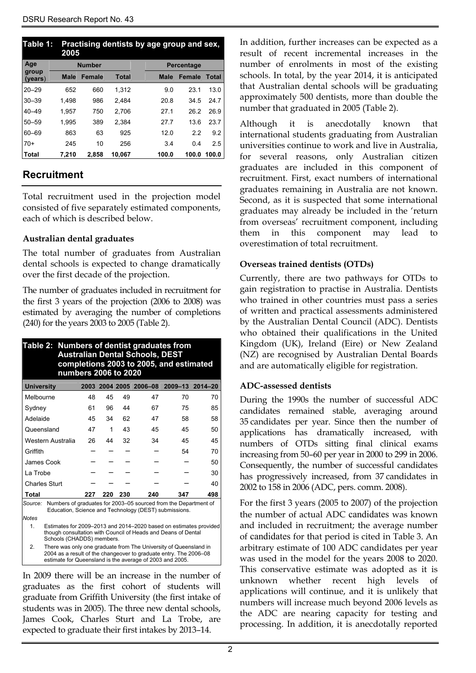<span id="page-1-0"></span>

| Table 1:             |             | Practising dentists by age group and sex,<br>2005 |              |  |            |        |              |  |  |
|----------------------|-------------|---------------------------------------------------|--------------|--|------------|--------|--------------|--|--|
| Age<br><b>Number</b> |             |                                                   |              |  | Percentage |        |              |  |  |
| group<br>(years)     | <b>Male</b> | <b>Female</b>                                     | <b>Total</b> |  | Male       | Female | <b>Total</b> |  |  |
| $20 - 29$            | 652         | 660                                               | 1.312        |  | 9.0        | 23.1   | 13.0         |  |  |
| $30 - 39$            | 1.498       | 986                                               | 2.484        |  | 20.8       | 34.5   | 24.7         |  |  |
| $40 - 49$            | 1.957       | 750                                               | 2.706        |  | 27.1       | 26.2   | 26.9         |  |  |
| $50 - 59$            | 1.995       | 389                                               | 2.384        |  | 27.7       | 13.6   | 23.7         |  |  |
| $60 - 69$            | 863         | 63                                                | 925          |  | 12.0       | 2.2    | 9.2          |  |  |
| $70+$                | 245         | 10                                                | 256          |  | 3.4        | 0.4    | 2.5          |  |  |
| Total                | 7.210       | 2.858                                             | 10.067       |  | 100.0      | 100.0  | 100.0        |  |  |

### **Recruitment**

Total recruitment used in the projection model consisted of five separately estimated components, each of which is described below.

#### **Australian dental graduates**

The total number of graduates from Australian dental schools is expected to change dramatically over the first decade of the projection.

The number of graduates included in recruitment for the first 3 years of the projection (2006 to 2008) was estimated by averaging the number of completions (240) for the years 2003 to 2005 ([Table 2\)](#page-1-1).

<span id="page-1-1"></span>

| Table 2: Numbers of dentist graduates from<br><b>Australian Dental Schools, DEST</b><br>completions 2003 to 2005, and estimated<br>numbers 2006 to 2020 |                                                                                                                                                                                                   |     |     |     |                                        |     |  |
|---------------------------------------------------------------------------------------------------------------------------------------------------------|---------------------------------------------------------------------------------------------------------------------------------------------------------------------------------------------------|-----|-----|-----|----------------------------------------|-----|--|
| <b>University</b>                                                                                                                                       |                                                                                                                                                                                                   |     |     |     | 2003 2004 2005 2006-08 2009-13 2014-20 |     |  |
| Melbourne                                                                                                                                               | 48                                                                                                                                                                                                | 45  | 49  | 47  | 70                                     | 70  |  |
| Sydney                                                                                                                                                  | 61                                                                                                                                                                                                | 96  | 44  | 67  | 75                                     | 85  |  |
| Adelaide                                                                                                                                                | 45                                                                                                                                                                                                | 34  | 62  | 47  | 58                                     | 58  |  |
| Queensland                                                                                                                                              | 47                                                                                                                                                                                                | 1   | 43  | 45  | 45                                     | 50  |  |
| Western Australia                                                                                                                                       | 26                                                                                                                                                                                                | 44  | 32  | 34  | 45                                     | 45  |  |
| Griffith                                                                                                                                                |                                                                                                                                                                                                   |     |     |     | 54                                     | 70  |  |
| James Cook                                                                                                                                              |                                                                                                                                                                                                   |     |     |     |                                        | 50  |  |
| La Trobe                                                                                                                                                |                                                                                                                                                                                                   |     |     |     |                                        | 30  |  |
| <b>Charles Sturt</b>                                                                                                                                    |                                                                                                                                                                                                   |     |     |     |                                        | 40  |  |
| Total                                                                                                                                                   | 227                                                                                                                                                                                               | 220 | 230 | 240 | 347                                    | 498 |  |
| Numbers of graduates for 2003–05 sourced from the Department of<br>Source:<br>Education, Science and Technology (DEST) submissions.                     |                                                                                                                                                                                                   |     |     |     |                                        |     |  |
| <b>Notes</b>                                                                                                                                            |                                                                                                                                                                                                   |     |     |     |                                        |     |  |
| 1 <sup>1</sup>                                                                                                                                          | Estimates for 2009-2013 and 2014-2020 based on estimates provided<br>though consultation with Council of Heads and Deans of Dental<br>Schools (CHADDS) members.                                   |     |     |     |                                        |     |  |
| 2.                                                                                                                                                      | There was only one graduate from The University of Queensland in<br>2004 as a result of the changeover to graduate entry. The 2006–08<br>estimate for Queensland is the average of 2003 and 2005. |     |     |     |                                        |     |  |

In 2009 there will be an increase in the number of graduates as the first cohort of students will graduate from Griffith University (the first intake of students was in 2005). The three new dental schools, James Cook, Charles Sturt and La Trobe, are expected to graduate their first intakes by 2013–14.

In addition, further increases can be expected as a result of recent incremental increases in the number of enrolments in most of the existing schools. In total, by the year 2014, it is anticipated that Australian dental schools will be graduating approximately 500 dentists, more than double the number that graduated in 2005 [\(Table 2](#page-1-1)).

Although it is anecdotally known that international students graduating from Australian universities continue to work and live in Australia, for several reasons, only Australian citizen graduates are included in this component of recruitment. First, exact numbers of international graduates remaining in Australia are not known. Second, as it is suspected that some international graduates may already be included in the 'return from overseas' recruitment component, including them in this component may lead to overestimation of total recruitment.

#### **Overseas trained dentists (OTDs)**

Currently, there are two pathways for OTDs to gain registration to practise in Australia. Dentists who trained in other countries must pass a series of written and practical assessments administered by the Australian Dental Council (ADC). Dentists who obtained their qualifications in the United Kingdom (UK), Ireland (Eire) or New Zealand (NZ) are recognised by Australian Dental Boards and are automatically eligible for registration.

#### **ADC-assessed dentists**

During the 1990s the number of successful ADC candidates remained stable, averaging around 35 candidates per year. Since then the number of applications has dramatically increased, with numbers of OTDs sitting final clinical exams increasing from 50–60 per year in 2000 to 299 in 2006. Consequently, the number of successful candidates has progressively increased, from 37 candidates in 2002 to 158 in 2006 (ADC, pers. comm. 2008).

For the first 3 years (2005 to 2007) of the projection the number of actual ADC candidates was known and included in recruitment; the average number of candidates for that period is cited in [Table 3.](#page-2-0) An arbitrary estimate of 100 ADC candidates per year was used in the model for the years 2008 to 2020. This conservative estimate was adopted as it is unknown whether recent high levels of applications will continue, and it is unlikely that numbers will increase much beyond 2006 levels as the ADC are nearing capacity for testing and processing. In addition, it is anecdotally reported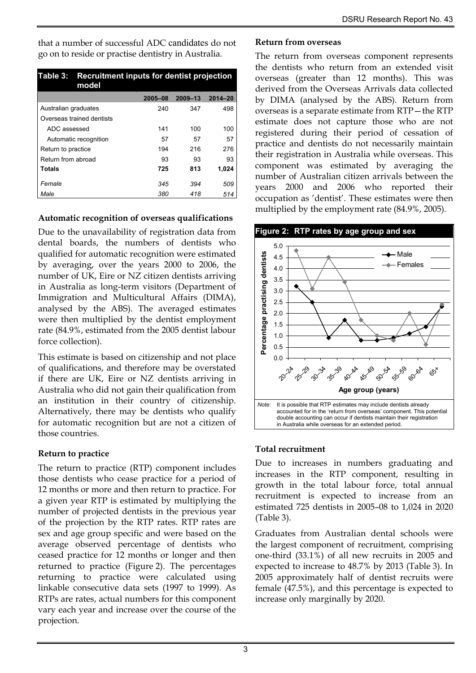that a number of successful ADC candidates do not go on to reside or practise dentistry in Australia.

<span id="page-2-0"></span>

| Table 3: I<br>model       | Recruitment inputs for dentist projection |             |         |  |  |  |  |
|---------------------------|-------------------------------------------|-------------|---------|--|--|--|--|
|                           | 2005-08                                   | $2009 - 13$ | 2014-20 |  |  |  |  |
| Australian graduates      | 240                                       | 347         | 498     |  |  |  |  |
| Overseas trained dentists |                                           |             |         |  |  |  |  |
| ADC assessed              | 141                                       | 100         | 100     |  |  |  |  |
| Automatic recognition     | 57                                        | 57          | 57      |  |  |  |  |
| Return to practice        | 194                                       | 216         | 276     |  |  |  |  |
| Return from abroad        | 93                                        | 93          | 93      |  |  |  |  |
| <b>Totals</b>             | 725                                       | 813         | 1,024   |  |  |  |  |
| Female                    | 345                                       | 394         | 509     |  |  |  |  |
| Male                      | 380                                       | 418         | 514     |  |  |  |  |

#### **Automatic recognition of overseas qualifications**

<span id="page-2-1"></span>Due to the unavailability of registration data from dental boards, the numbers of dentists who qualified for automatic recognition were estimated by averaging, over the years 2000 to 2006, the number of UK, Eire or NZ citizen dentists arriving in Australia as long-term visitors (Department of Immigration and Multicultural Affairs (DIMA), analysed by the ABS). The averaged estimates were then multiplied by the dentist employment rate (84.9%, estimated from the 2005 dentist labour force collection).

This estimate is based on citizenship and not place of qualifications, and therefore may be overstated if there are UK, Eire or NZ dentists arriving in Australia who did not gain their qualification from an institution in their country of citizenship. Alternatively, there may be dentists who qualify for automatic recognition but are not a citizen of those countries.

# **Return to practice**

The return to practice (RTP) component includes those dentists who cease practice for a period of 12 months or more and then return to practice. For a given year RTP is estimated by multiplying the number of projected dentists in the previous year of the projection by the RTP rates. RTP rates are sex and age group specific and were based on the average observed percentage of dentists who ceased practice for 12 months or longer and then returned to practice [\(Figure 2](#page-2-1)). The percentages returning to practice were calculated using linkable consecutive data sets (1997 to 1999). As RTPs are rates, actual numbers for this component vary each year and increase over the course of the projection.

#### **Return from overseas**

The return from overseas component represents the dentists who return from an extended visit overseas (greater than 12 months). This was derived from the Overseas Arrivals data collected by DIMA (analysed by the ABS). Return from overseas is a separate estimate from RTP—the RTP estimate does not capture those who are not registered during their period of cessation of practice and dentists do not necessarily maintain their registration in Australia while overseas. This component was estimated by averaging the number of Australian citizen arrivals between the years 2000 and 2006 who reported their occupation as 'dentist'. These estimates were then multiplied by the employment rate (84.9%, 2005).



#### **Total recruitment**

Due to increases in numbers graduating and increases in the RTP component, resulting in growth in the total labour force, total annual recruitment is expected to increase from an estimated 725 dentists in 2005–08 to 1,024 in 2020 ([Table 3](#page-2-0)).

Graduates from Australian dental schools were the largest component of recruitment, comprising one-third (33.1%) of all new recruits in 2005 and expected to increase to 48.7% by 2013 [\(Table 3\)](#page-2-0). In 2005 approximately half of dentist recruits were female (47.5%), and this percentage is expected to increase only marginally by 2020.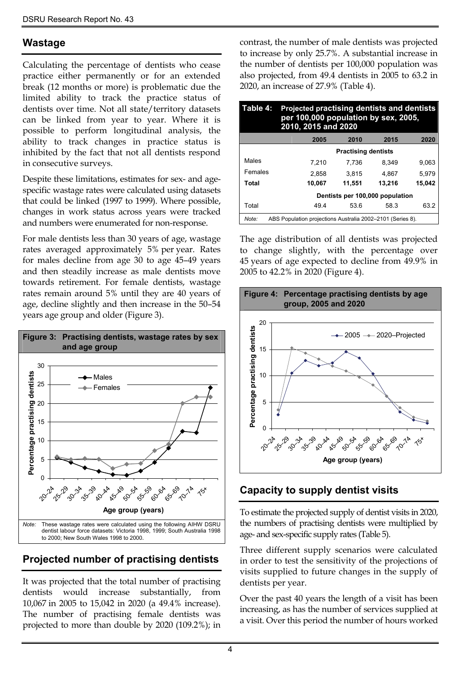#### **Wastage**

<span id="page-3-1"></span>Calculating the percentage of dentists who cease practice either permanently or for an extended break (12 months or more) is problematic due the limited ability to track the practice status of dentists over time. Not all state/territory datasets can be linked from year to year. Where it is possible to perform longitudinal analysis, the ability to track changes in practice status is inhibited by the fact that not all dentists respond in consecutive surveys.

Despite these limitations, estimates for sex- and agespecific wastage rates were calculated using datasets that could be linked (1997 to 1999). Where possible, changes in work status across years were tracked and numbers were enumerated for non-response.

For male dentists less than 30 years of age, wastage rates averaged approximately 5% per year. Rates for males decline from age 30 to age 45–49 years and then steadily increase as male dentists move towards retirement. For female dentists, wastage rates remain around 5% until they are 40 years of age, decline slightly and then increase in the 50–54 years age group and older ([Figure 3\)](#page-3-0).

<span id="page-3-0"></span>

# **Projected number of practising dentists**

It was projected that the total number of practising dentists would increase substantially, from 10,067 in 2005 to 15,042 in 2020 (a 49.4% increase). The number of practising female dentists was projected to more than double by 2020 (109.2%); in contrast, the number of male dentists was projected to increase by only 25.7%. A substantial increase in the number of dentists per 100,000 population was also projected, from 49.4 dentists in 2005 to 63.2 in 2020, an increase of 27.9% [\(Table 4](#page-3-1)).

| Table 4: | Projected practising dentists and dentists<br>per 100,000 population by sex, 2005,<br>2010, 2015 and 2020 |        |        |        |  |  |  |  |
|----------|-----------------------------------------------------------------------------------------------------------|--------|--------|--------|--|--|--|--|
|          | 2005                                                                                                      | 2010   | 2015   | 2020   |  |  |  |  |
|          | <b>Practising dentists</b>                                                                                |        |        |        |  |  |  |  |
| Males    | 7,210                                                                                                     | 7.736  | 8.349  | 9.063  |  |  |  |  |
| Females  | 2.858                                                                                                     | 3.815  | 4.867  | 5.979  |  |  |  |  |
| Total    | 10,067                                                                                                    | 11.551 | 13.216 | 15,042 |  |  |  |  |
|          | Dentists per 100,000 population                                                                           |        |        |        |  |  |  |  |
| Total    | 49.4                                                                                                      | 53.6   | 58.3   | 63.2   |  |  |  |  |

*Note:* ABS Population projections Australia 2002–2101 (Series 8).

The age distribution of all dentists was projected to change slightly, with the percentage over 45 years of age expected to decline from 49.9% in 2005 to 42.2% in 2020 (Figure 4).



# **Capacity to supply dentist visits**

To estimate the projected supply of dentist visits in 2020, the numbers of practising dentists were multiplied by age- and sex-specific supply rates [\(Table 5\)](#page-4-0).

Three different supply scenarios were calculated in order to test the sensitivity of the projections of visits supplied to future changes in the supply of dentists per year.

Over the past 40 years the length of a visit has been increasing, as has the number of services supplied at a visit. Over this period the number of hours worked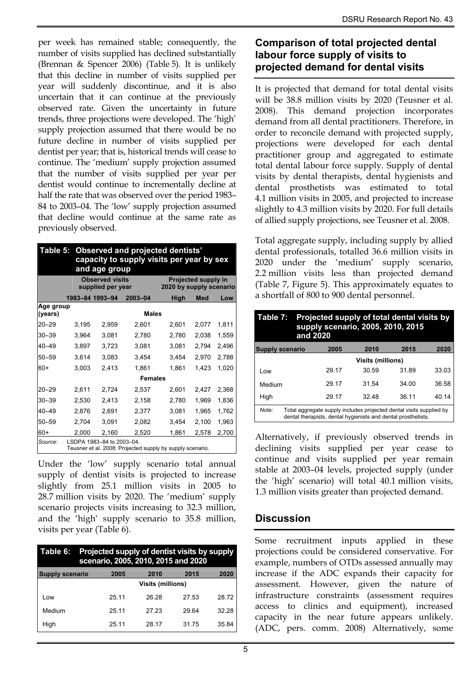per week has remained stable; consequently, the number of visits supplied has declined substantially (Brennan & Spencer 2006) [\(Table 5\)](#page-4-0). It is unlikely that this decline in number of visits supplied per year will suddenly discontinue, and it is also uncertain that it can continue at the previously observed rate. Given the uncertainty in future trends, three projections were developed. The 'high' supply projection assumed that there would be no future decline in number of visits supplied per dentist per year; that is, historical trends will cease to continue. The 'medium' supply projection assumed that the number of visits supplied per year per dentist would continue to incrementally decline at half the rate that was observed over the period 1983– 84 to 2003–04. The 'low' supply projection assumed that decline would continue at the same rate as previously observed.

<span id="page-4-0"></span>

| Table 5:             |                 | Observed and projected dentists'<br>capacity to supply visits per year by sex<br>and age group |              |                                                       |       |       |  |  |  |
|----------------------|-----------------|------------------------------------------------------------------------------------------------|--------------|-------------------------------------------------------|-------|-------|--|--|--|
|                      |                 | <b>Observed visits</b><br>supplied per year                                                    |              | <b>Projected supply in</b><br>2020 by supply scenario |       |       |  |  |  |
|                      | 1983–84 1993–94 |                                                                                                | 2003-04      | High                                                  | Med   | Low   |  |  |  |
| Age group<br>(years) |                 |                                                                                                | <b>Males</b> |                                                       |       |       |  |  |  |
| $20 - 29$            | 3,195           | 2,959                                                                                          | 2,601        | 2,601                                                 | 2,077 | 1,811 |  |  |  |
| 30-39                | 3.964           | 3.081                                                                                          | 2,780        | 2,780                                                 | 2,038 | 1,559 |  |  |  |
| 40-49                | 3,897           | 3.723                                                                                          | 3,081        | 3,081                                                 | 2,794 | 2,496 |  |  |  |
| $50 - 59$            | 3,614           | 3,083                                                                                          | 3,454        | 3,454                                                 | 2,970 | 2,788 |  |  |  |
| 60+                  | 3,003           | 2,413                                                                                          | 1,861        | 1,861                                                 | 1,423 | 1,020 |  |  |  |
|                      |                 | <b>Females</b>                                                                                 |              |                                                       |       |       |  |  |  |
| 20–29                | 2,611           | 2,724                                                                                          | 2,537        | 2,601                                                 | 2,427 | 2,368 |  |  |  |
| 30-39                | 2,530           | 2,413                                                                                          | 2,158        | 2,780                                                 | 1,969 | 1,836 |  |  |  |
| 40–49                | 2.876           | 2,691                                                                                          | 2,377        | 3,081                                                 | 1.965 | 1,762 |  |  |  |
| 50–59                | 2,704           | 3,091                                                                                          | 2,082        | 3,454                                                 | 2,100 | 1,963 |  |  |  |
| 60+                  | 2,000           | 2,160                                                                                          | 2,520        | 1,861                                                 | 2,578 | 2,700 |  |  |  |
| Source:              |                 | LSDPA 1983-84 to 2003-04.<br>Teusner et al. 2008: Projected supply by supply scenario.         |              |                                                       |       |       |  |  |  |

Under the 'low' supply scenario total annual supply of dentist visits is projected to increase slightly from 25.1 million visits in 2005 to 28.7 million visits by 2020. The 'medium' supply scenario projects visits increasing to 32.3 million, and the 'high' supply scenario to 35.8 million, visits per year (Table 6).

| Table 6:               | Projected supply of dentist visits by supply<br>scenario, 2005, 2010, 2015 and 2020 |                          |       |       |       |  |  |  |
|------------------------|-------------------------------------------------------------------------------------|--------------------------|-------|-------|-------|--|--|--|
| <b>Supply scenario</b> |                                                                                     | 2005                     | 2010  | 2015  | 2020  |  |  |  |
|                        |                                                                                     | <b>Visits (millions)</b> |       |       |       |  |  |  |
| Low                    |                                                                                     | 25 11                    | 26.28 | 27.53 | 28.72 |  |  |  |
| Medium                 |                                                                                     | 25 11                    | 27 23 | 29.64 | 32.28 |  |  |  |
| High                   |                                                                                     | 25.11                    | 28.17 | 31.75 | 35.84 |  |  |  |

#### **Comparison of total projected dental labour force supply of visits to projected demand for dental visits**

It is projected that demand for total dental visits will be 38.8 million visits by 2020 (Teusner et al. 2008). This demand projection incorporates demand from all dental practitioners. Therefore, in order to reconcile demand with projected supply, projections were developed for each dental practitioner group and aggregated to estimate total dental labour force supply. Supply of dental visits by dental therapists, dental hygienists and dental prosthetists was estimated to total 4.1 million visits in 2005, and projected to increase slightly to 4.3 million visits by 2020. For full details of allied supply projections, see Teusner et al. 2008.

Total aggregate supply, including supply by allied dental professionals, totalled 36.6 million visits in 2020 under the 'medium' supply scenario, 2.2 million visits less than projected demand (Table 7, Figure 5). This approximately equates to a shortfall of 800 to 900 dental personnel.

| Table 7:        | Projected supply of total dental visits by<br>supply scenario, 2005, 2010, 2015<br>and 2020                                          |                          |       |       |       |  |  |  |
|-----------------|--------------------------------------------------------------------------------------------------------------------------------------|--------------------------|-------|-------|-------|--|--|--|
| Supply scenario |                                                                                                                                      | 2005                     | 2010  | 2015  | 2020  |  |  |  |
|                 |                                                                                                                                      | <b>Visits (millions)</b> |       |       |       |  |  |  |
| l ow            |                                                                                                                                      | 29.17                    | 30.59 | 31.89 | 33.03 |  |  |  |
| Medium          |                                                                                                                                      | 29.17                    | 31.54 | 34.00 | 36.58 |  |  |  |
| High            |                                                                                                                                      | 29.17                    | 32 48 | 36.11 | 40.14 |  |  |  |
| Note:           | Total aggregate supply includes projected dental visits supplied by<br>dental therapists, dental hygienists and dental prosthetists. |                          |       |       |       |  |  |  |

Alternatively, if previously observed trends in declining visits supplied per year cease to continue and visits supplied per year remain stable at 2003–04 levels, projected supply (under the 'high' scenario) will total 40.1 million visits, 1.3 million visits greater than projected demand.

# **Discussion**

Some recruitment inputs applied in these projections could be considered conservative. For example, numbers of OTDs assessed annually may increase if the ADC expands their capacity for assessment. However, given the nature of infrastructure constraints (assessment requires access to clinics and equipment), increased capacity in the near future appears unlikely. (ADC, pers. comm. 2008) Alternatively, some